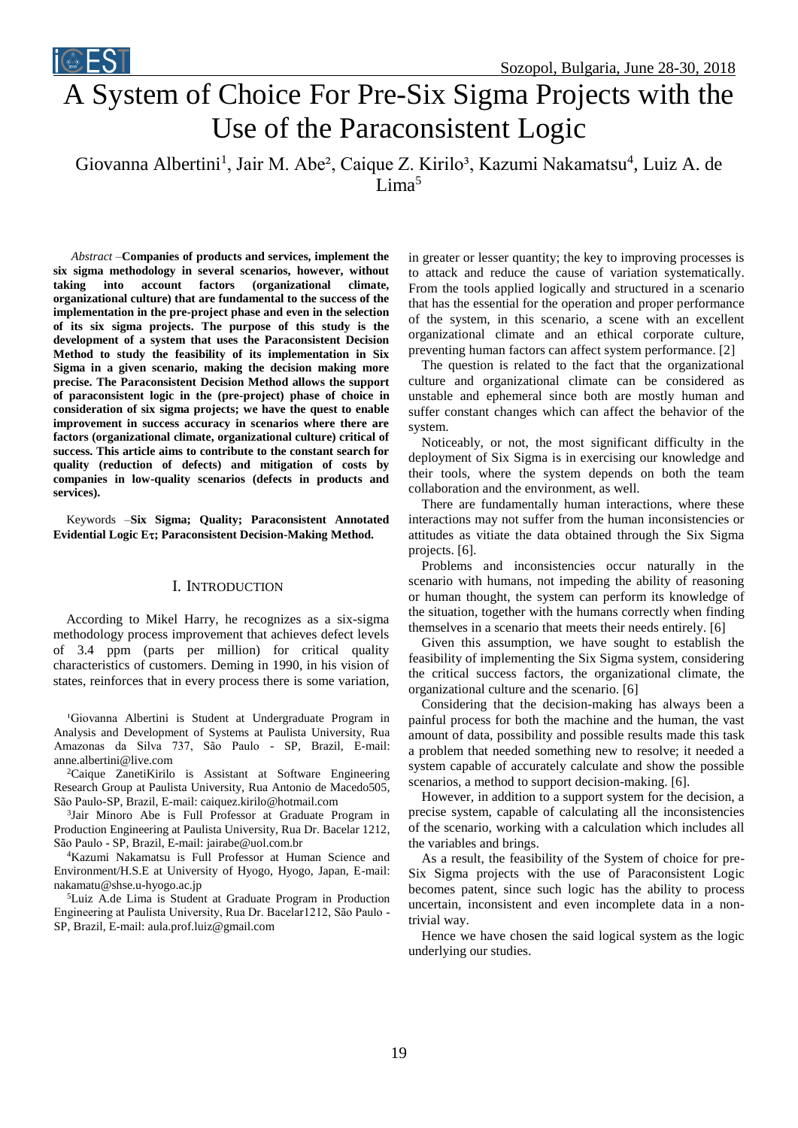

# A System of Choice For Pre-Six Sigma Projects with the Use of the Paraconsistent Logic

Giovanna Albertini<sup>1</sup>, Jair M. Abe<sup>2</sup>, Caique Z. Kirilo<sup>3</sup>, Kazumi Nakamatsu<sup>4</sup>, Luiz A. de Lima $5$ 

*Abstract –***Companies of products and services, implement the six sigma methodology in several scenarios, however, without taking into account factors (organizational climate, organizational culture) that are fundamental to the success of the implementation in the pre-project phase and even in the selection of its six sigma projects. The purpose of this study is the development of a system that uses the Paraconsistent Decision Method to study the feasibility of its implementation in Six Sigma in a given scenario, making the decision making more precise. The Paraconsistent Decision Method allows the support of paraconsistent logic in the (pre-project) phase of choice in consideration of six sigma projects; we have the quest to enable improvement in success accuracy in scenarios where there are factors (organizational climate, organizational culture) critical of success. This article aims to contribute to the constant search for quality (reduction of defects) and mitigation of costs by companies in low-quality scenarios (defects in products and services).**

Keywords –**Six Sigma; Quality; Paraconsistent Annotated Evidential Logic E; Paraconsistent Decision-Making Method.**

## I. INTRODUCTION

According to Mikel Harry, he recognizes as a six-sigma methodology process improvement that achieves defect levels of 3.4 ppm (parts per million) for critical quality characteristics of customers. Deming in 1990, in his vision of states, reinforces that in every process there is some variation,

<sup>1</sup>Giovanna Albertini is Student at Undergraduate Program in Analysis and Development of Systems at Paulista University, Rua Amazonas da Silva 737, São Paulo - SP, Brazil, E-mail: anne.albertini@live.com

<sup>2</sup>Caique ZanetiKirilo is Assistant at Software Engineering Research Group at Paulista University, Rua Antonio de Macedo505, São Paulo-SP, Brazil, E-mail: caiquez.kirilo@hotmail.com

3 Jair Minoro Abe is Full Professor at Graduate Program in Production Engineering at Paulista University, Rua Dr. Bacelar 1212, São Paulo - SP, Brazil, E-mail: [jairabe@uol.com.br](mailto:jairabe@uol.com.br)

<sup>4</sup>Kazumi Nakamatsu is Full Professor at Human Science and Environment/H.S.E at University of Hyogo, Hyogo, Japan, E-mail: nakamatu@shse.u-hyogo.ac.jp

<sup>5</sup>Luiz A.de Lima is Student at Graduate Program in Production Engineering at Paulista University, Rua Dr. Bacelar1212, São Paulo - SP, Brazil, E-mail: aula.prof.luiz@gmail.com

in greater or lesser quantity; the key to improving processes is to attack and reduce the cause of variation systematically. From the tools applied logically and structured in a scenario that has the essential for the operation and proper performance of the system, in this scenario, a scene with an excellent organizational climate and an ethical corporate culture, preventing human factors can affect system performance. [2]

The question is related to the fact that the organizational culture and organizational climate can be considered as unstable and ephemeral since both are mostly human and suffer constant changes which can affect the behavior of the system.

Noticeably, or not, the most significant difficulty in the deployment of Six Sigma is in exercising our knowledge and their tools, where the system depends on both the team collaboration and the environment, as well.

There are fundamentally human interactions, where these interactions may not suffer from the human inconsistencies or attitudes as vitiate the data obtained through the Six Sigma projects. [6].

Problems and inconsistencies occur naturally in the scenario with humans, not impeding the ability of reasoning or human thought, the system can perform its knowledge of the situation, together with the humans correctly when finding themselves in a scenario that meets their needs entirely. [6]

Given this assumption, we have sought to establish the feasibility of implementing the Six Sigma system, considering the critical success factors, the organizational climate, the organizational culture and the scenario. [6]

Considering that the decision-making has always been a painful process for both the machine and the human, the vast amount of data, possibility and possible results made this task a problem that needed something new to resolve; it needed a system capable of accurately calculate and show the possible scenarios, a method to support decision-making. [6].

However, in addition to a support system for the decision, a precise system, capable of calculating all the inconsistencies of the scenario, working with a calculation which includes all the variables and brings.

As a result, the feasibility of the System of choice for pre-Six Sigma projects with the use of Paraconsistent Logic becomes patent, since such logic has the ability to process uncertain, inconsistent and even incomplete data in a nontrivial way.

Hence we have chosen the said logical system as the logic underlying our studies.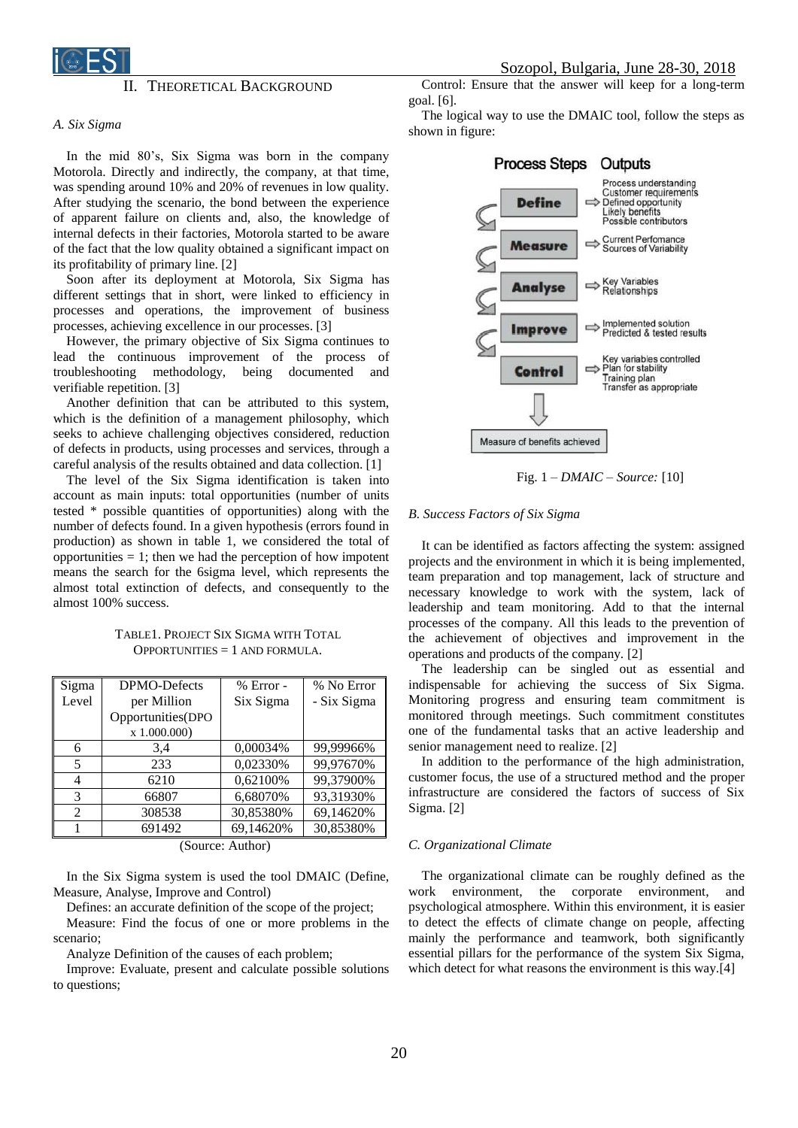

## II. THEORETICAL BACKGROUND

## *A. Six Sigma*

In the mid 80's, Six Sigma was born in the company Motorola. Directly and indirectly, the company, at that time, was spending around 10% and 20% of revenues in low quality. After studying the scenario, the bond between the experience of apparent failure on clients and, also, the knowledge of internal defects in their factories, Motorola started to be aware of the fact that the low quality obtained a significant impact on its profitability of primary line. [2]

Soon after its deployment at Motorola, Six Sigma has different settings that in short, were linked to efficiency in processes and operations, the improvement of business processes, achieving excellence in our processes. [3]

However, the primary objective of Six Sigma continues to lead the continuous improvement of the process of troubleshooting methodology, being documented and verifiable repetition. [3]

Another definition that can be attributed to this system, which is the definition of a management philosophy, which seeks to achieve challenging objectives considered, reduction of defects in products, using processes and services, through a careful analysis of the results obtained and data collection. [1]

The level of the Six Sigma identification is taken into account as main inputs: total opportunities (number of units tested \* possible quantities of opportunities) along with the number of defects found. In a given hypothesis (errors found in production) as shown in table 1, we considered the total of opportunities  $= 1$ ; then we had the perception of how impotent means the search for the 6sigma level, which represents the almost total extinction of defects, and consequently to the almost 100% success.

TABLE1. PROJECT SIX SIGMA WITH TOTAL OPPORTUNITIES = 1 AND FORMULA.

| Sigma          | DPMO-Defects      | % Error - | % No Error  |
|----------------|-------------------|-----------|-------------|
| Level          | per Million       | Six Sigma | - Six Sigma |
|                | Opportunities(DPO |           |             |
|                | x 1.000.000       |           |             |
| 6              | 3,4               | 0,00034%  | 99,99966%   |
| 5              | 233               | 0,02330%  | 99,97670%   |
|                | 6210              | 0,62100%  | 99,37900%   |
| 3              | 66807             | 6,68070%  | 93,31930%   |
| $\mathfrak{D}$ | 308538            | 30,85380% | 69,14620%   |
|                | 691492            | 69,14620% | 30,85380%   |

(Source: Author)

In the Six Sigma system is used the tool DMAIC (Define, Measure, Analyse, Improve and Control)

Defines: an accurate definition of the scope of the project;

Measure: Find the focus of one or more problems in the scenario;

Analyze Definition of the causes of each problem;

Improve: Evaluate, present and calculate possible solutions to questions;

Control: Ensure that the answer will keep for a long-term goal. [6].

The logical way to use the DMAIC tool, follow the steps as shown in figure:



Fig. 1 – *DMAIC – Source:* [10]

#### *B. Success Factors of Six Sigma*

It can be identified as factors affecting the system: assigned projects and the environment in which it is being implemented, team preparation and top management, lack of structure and necessary knowledge to work with the system, lack of leadership and team monitoring. Add to that the internal processes of the company. All this leads to the prevention of the achievement of objectives and improvement in the operations and products of the company. [2]

The leadership can be singled out as essential and indispensable for achieving the success of Six Sigma. Monitoring progress and ensuring team commitment is monitored through meetings. Such commitment constitutes one of the fundamental tasks that an active leadership and senior management need to realize. [2]

In addition to the performance of the high administration, customer focus, the use of a structured method and the proper infrastructure are considered the factors of success of Six Sigma. [2]

#### *C. Organizational Climate*

The organizational climate can be roughly defined as the work environment, the corporate environment, and psychological atmosphere. Within this environment, it is easier to detect the effects of climate change on people, affecting mainly the performance and teamwork, both significantly essential pillars for the performance of the system Six Sigma, which detect for what reasons the environment is this way.[4]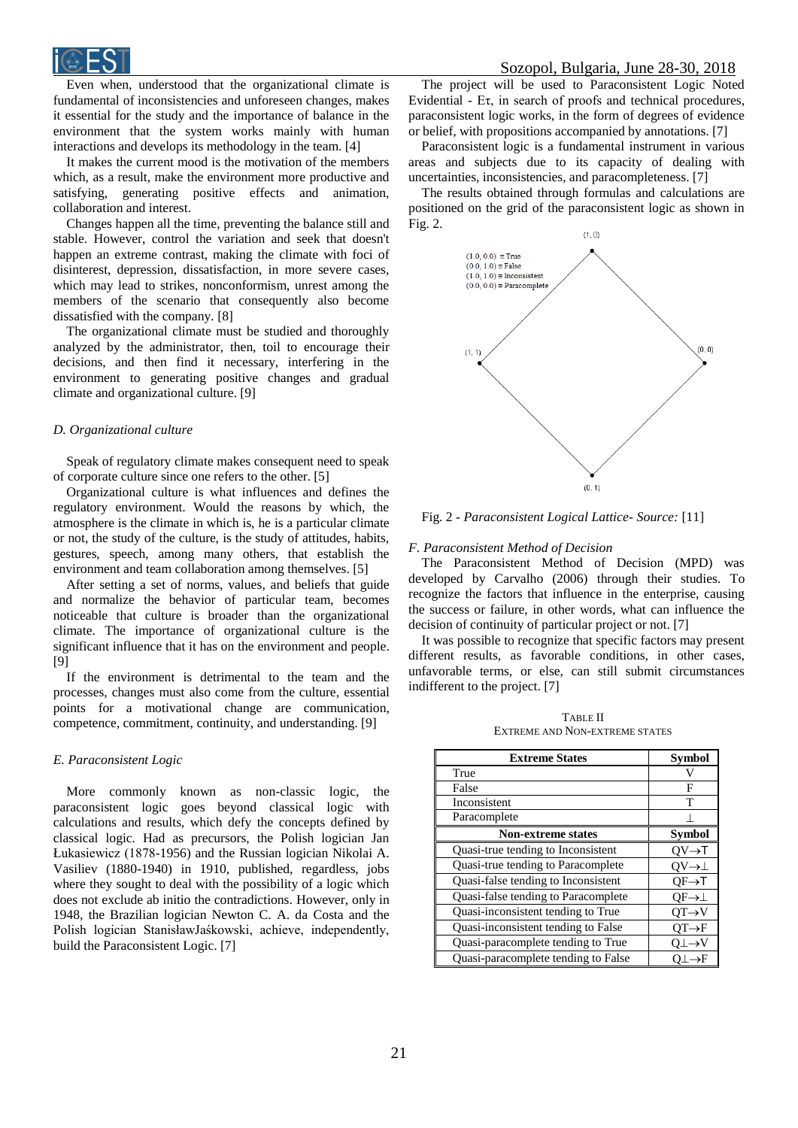Even when, understood that the organizational climate is fundamental of inconsistencies and unforeseen changes, makes it essential for the study and the importance of balance in the environment that the system works mainly with human interactions and develops its methodology in the team. [4]

It makes the current mood is the motivation of the members which, as a result, make the environment more productive and satisfying, generating positive effects and animation, collaboration and interest.

Changes happen all the time, preventing the balance still and stable. However, control the variation and seek that doesn't happen an extreme contrast, making the climate with foci of disinterest, depression, dissatisfaction, in more severe cases, which may lead to strikes, nonconformism, unrest among the members of the scenario that consequently also become dissatisfied with the company. [8]

The organizational climate must be studied and thoroughly analyzed by the administrator, then, toil to encourage their decisions, and then find it necessary, interfering in the environment to generating positive changes and gradual climate and organizational culture. [9]

## *D. Organizational culture*

Speak of regulatory climate makes consequent need to speak of corporate culture since one refers to the other. [5]

Organizational culture is what influences and defines the regulatory environment. Would the reasons by which, the atmosphere is the climate in which is, he is a particular climate or not, the study of the culture, is the study of attitudes, habits, gestures, speech, among many others, that establish the environment and team collaboration among themselves. [5]

After setting a set of norms, values, and beliefs that guide and normalize the behavior of particular team, becomes noticeable that culture is broader than the organizational climate. The importance of organizational culture is the significant influence that it has on the environment and people. [9]

If the environment is detrimental to the team and the processes, changes must also come from the culture, essential points for a motivational change are communication, competence, commitment, continuity, and understanding. [9]

#### *E. Paraconsistent Logic*

More commonly known as non-classic logic, the paraconsistent logic goes beyond classical logic with calculations and results, which defy the concepts defined by classical logic. Had as precursors, the Polish logician Jan Łukasiewicz (1878-1956) and the Russian logician Nikolai A. Vasiliev (1880-1940) in 1910, published, regardless, jobs where they sought to deal with the possibility of a logic which does not exclude ab initio the contradictions. However, only in 1948, the Brazilian logician Newton C. A. da Costa and the Polish logician StanisławJaśkowski, achieve, independently, build the Paraconsistent Logic. [7]

The project will be used to Paraconsistent Logic Noted Evidential - Eτ, in search of proofs and technical procedures, paraconsistent logic works, in the form of degrees of evidence or belief, with propositions accompanied by annotations. [7]

Paraconsistent logic is a fundamental instrument in various areas and subjects due to its capacity of dealing with uncertainties, inconsistencies, and paracompleteness. [7]

The results obtained through formulas and calculations are positioned on the grid of the paraconsistent logic as shown in Fig. 2.



Fig. 2 - *Paraconsistent Logical Lattice- Source:* [11]

#### *F. Paraconsistent Method of Decision*

The Paraconsistent Method of Decision (MPD) was developed by Carvalho (2006) through their studies. To recognize the factors that influence in the enterprise, causing the success or failure, in other words, what can influence the decision of continuity of particular project or not. [7]

It was possible to recognize that specific factors may present different results, as favorable conditions, in other cases, unfavorable terms, or else, can still submit circumstances indifferent to the project. [7]

TABLE II EXTREME AND NON-EXTREME STATES

| <b>Extreme States</b>               | Symbol                  |
|-------------------------------------|-------------------------|
| True                                |                         |
| False                               | F                       |
| Inconsistent                        | т                       |
| Paracomplete                        |                         |
| <b>Non-extreme states</b>           | <b>Symbol</b>           |
| Quasi-true tending to Inconsistent  | $OV \rightarrow T$      |
| Quasi-true tending to Paracomplete  | $O V \rightarrow \perp$ |
| Quasi-false tending to Inconsistent | $OF \rightarrow T$      |
| Quasi-false tending to Paracomplete | QF→⊥                    |
| Quasi-inconsistent tending to True  | $OT\rightarrow V$       |
| Quasi-inconsistent tending to False | $OT\rightarrow F$       |
| Quasi-paracomplete tending to True  | Q⊥→V                    |
| Quasi-paracomplete tending to False | O⊥→F                    |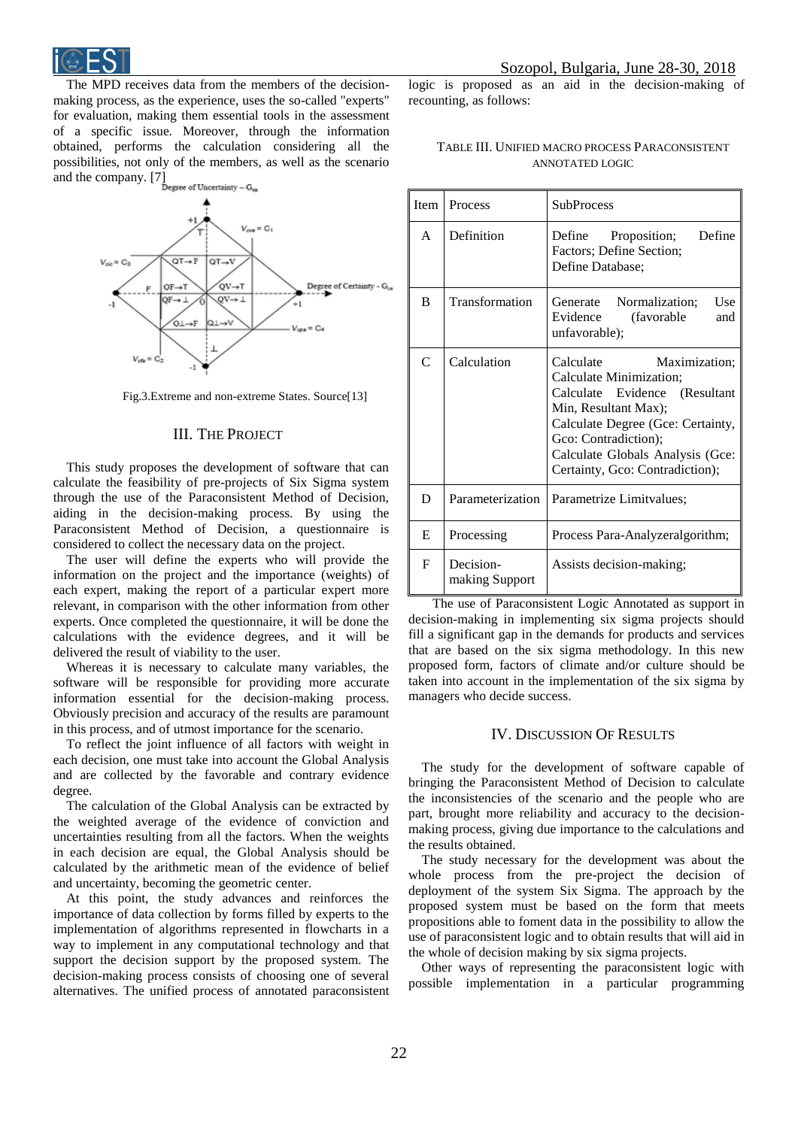

The MPD receives data from the members of the decisionmaking process, as the experience, uses the so-called "experts" for evaluation, making them essential tools in the assessment of a specific issue. Moreover, through the information obtained, performs the calculation considering all the possibilities, not only of the members, as well as the scenario and the company. [7]



Fig.3.Extreme and non-extreme States. Source[13]

# III. THE PROJECT

This study proposes the development of software that can calculate the feasibility of pre-projects of Six Sigma system through the use of the Paraconsistent Method of Decision, aiding in the decision-making process. By using the Paraconsistent Method of Decision, a questionnaire is considered to collect the necessary data on the project.

The user will define the experts who will provide the information on the project and the importance (weights) of each expert, making the report of a particular expert more relevant, in comparison with the other information from other experts. Once completed the questionnaire, it will be done the calculations with the evidence degrees, and it will be delivered the result of viability to the user.

Whereas it is necessary to calculate many variables, the software will be responsible for providing more accurate information essential for the decision-making process. Obviously precision and accuracy of the results are paramount in this process, and of utmost importance for the scenario.

To reflect the joint influence of all factors with weight in each decision, one must take into account the Global Analysis and are collected by the favorable and contrary evidence degree.

The calculation of the Global Analysis can be extracted by the weighted average of the evidence of conviction and uncertainties resulting from all the factors. When the weights in each decision are equal, the Global Analysis should be calculated by the arithmetic mean of the evidence of belief and uncertainty, becoming the geometric center.

At this point, the study advances and reinforces the importance of data collection by forms filled by experts to the implementation of algorithms represented in flowcharts in a way to implement in any computational technology and that support the decision support by the proposed system. The decision-making process consists of choosing one of several alternatives. The unified process of annotated paraconsistent logic is proposed as an aid in the decision-making of recounting, as follows:

|      |                                 | ANNUTATED LUUIU                                                     |        |
|------|---------------------------------|---------------------------------------------------------------------|--------|
| Item | <b>Process</b>                  | SubProcess                                                          |        |
| A    | Definition                      | Define Proposition;<br>Factors; Define Section;<br>Define Database; | Define |
| D    | $\mathcal{C}$ and $\mathcal{C}$ | $\sim$ $\sim$ $\sim$ $\sim$ $\sim$                                  |        |

|                 | TABLE III. UNIFIED MACRO PROCESS PARACONSISTENT |  |
|-----------------|-------------------------------------------------|--|
| ANNOTATED LOGIC |                                                 |  |

| A                           | Definition                  | Define<br>Proposition;<br>Define<br>Factors; Define Section;<br>Define Database;                                                                                                                                                                       |
|-----------------------------|-----------------------------|--------------------------------------------------------------------------------------------------------------------------------------------------------------------------------------------------------------------------------------------------------|
| B                           | Transformation              | Generate Normalization;<br>Use<br>Evidence<br>(favorable)<br>and<br>unfavorable);                                                                                                                                                                      |
| $\mathcal{C}_{\mathcal{C}}$ | Calculation                 | Calculate<br>Maximization;<br>Calculate Minimization;<br>Calculate Evidence<br>(Resultant)<br>Min, Resultant Max);<br>Calculate Degree (Gce: Certainty,<br>Geo: Contradiction);<br>Calculate Globals Analysis (Gce:<br>Certainty, Gco: Contradiction); |
| D                           | Parameterization            | Parametrize Limitvalues;                                                                                                                                                                                                                               |
| E                           | Processing                  | Process Para-Analyzeralgorithm;                                                                                                                                                                                                                        |
| F                           | Decision-<br>making Support | Assists decision-making;                                                                                                                                                                                                                               |

The use of Paraconsistent Logic Annotated as support in decision-making in implementing six sigma projects should fill a significant gap in the demands for products and services that are based on the six sigma methodology. In this new proposed form, factors of climate and/or culture should be taken into account in the implementation of the six sigma by managers who decide success.

#### IV. DISCUSSION OF RESULTS

The study for the development of software capable of bringing the Paraconsistent Method of Decision to calculate the inconsistencies of the scenario and the people who are part, brought more reliability and accuracy to the decisionmaking process, giving due importance to the calculations and the results obtained.

The study necessary for the development was about the whole process from the pre-project the decision of deployment of the system Six Sigma. The approach by the proposed system must be based on the form that meets propositions able to foment data in the possibility to allow the use of paraconsistent logic and to obtain results that will aid in the whole of decision making by six sigma projects.

Other ways of representing the paraconsistent logic with possible implementation in a particular programming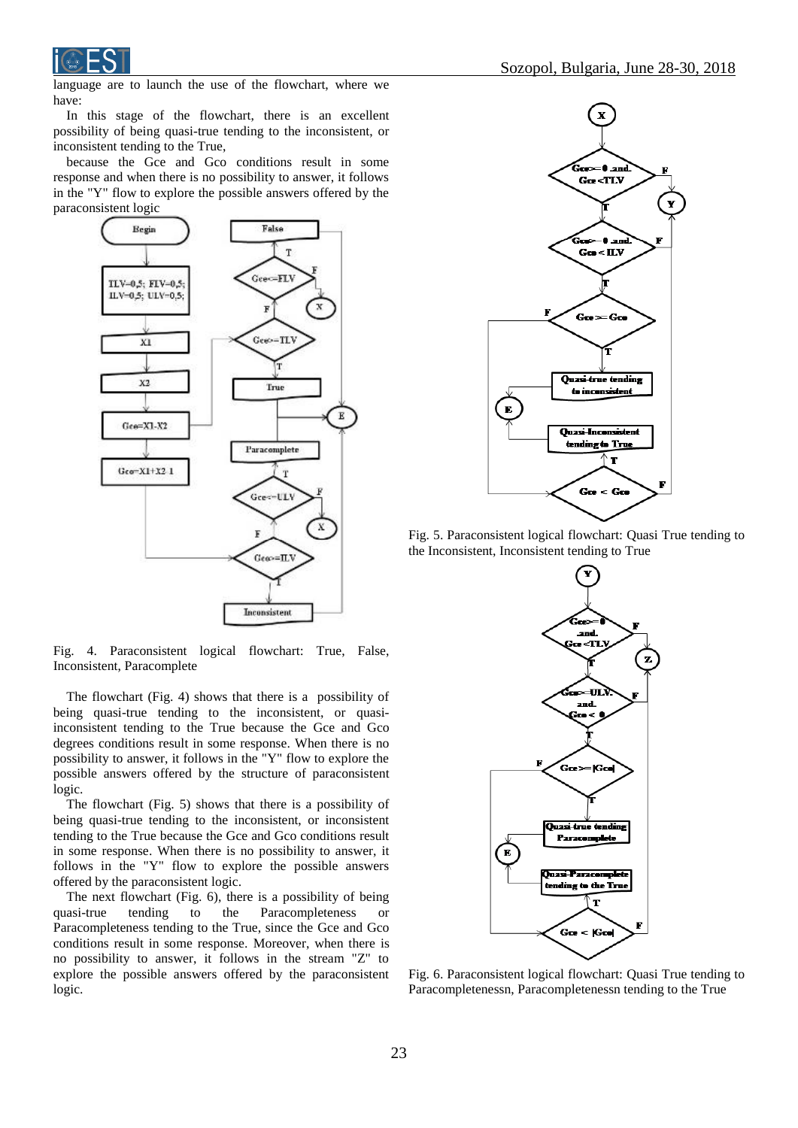

language are to launch the use of the flowchart, where we have:

In this stage of the flowchart, there is an excellent possibility of being quasi-true tending to the inconsistent, or inconsistent tending to the True,

because the Gce and Gco conditions result in some response and when there is no possibility to answer, it follows in the "Y" flow to explore the possible answers offered by the paraconsistent logic



Fig. 4. Paraconsistent logical flowchart: True, False, Inconsistent, Paracomplete

The flowchart (Fig. 4) shows that there is a possibility of being quasi-true tending to the inconsistent, or quasiinconsistent tending to the True because the Gce and Gco degrees conditions result in some response. When there is no possibility to answer, it follows in the "Y" flow to explore the possible answers offered by the structure of paraconsistent logic.

The flowchart (Fig. 5) shows that there is a possibility of being quasi-true tending to the inconsistent, or inconsistent tending to the True because the Gce and Gco conditions result in some response. When there is no possibility to answer, it follows in the "Y" flow to explore the possible answers offered by the paraconsistent logic.

The next flowchart (Fig. 6), there is a possibility of being quasi-true tending to the Paracompleteness or Paracompleteness tending to the True, since the Gce and Gco conditions result in some response. Moreover, when there is no possibility to answer, it follows in the stream "Z" to explore the possible answers offered by the paraconsistent logic.



Fig. 5. Paraconsistent logical flowchart: Quasi True tending to the Inconsistent, Inconsistent tending to True



Fig. 6. Paraconsistent logical flowchart: Quasi True tending to Paracompletenessn, Paracompletenessn tending to the True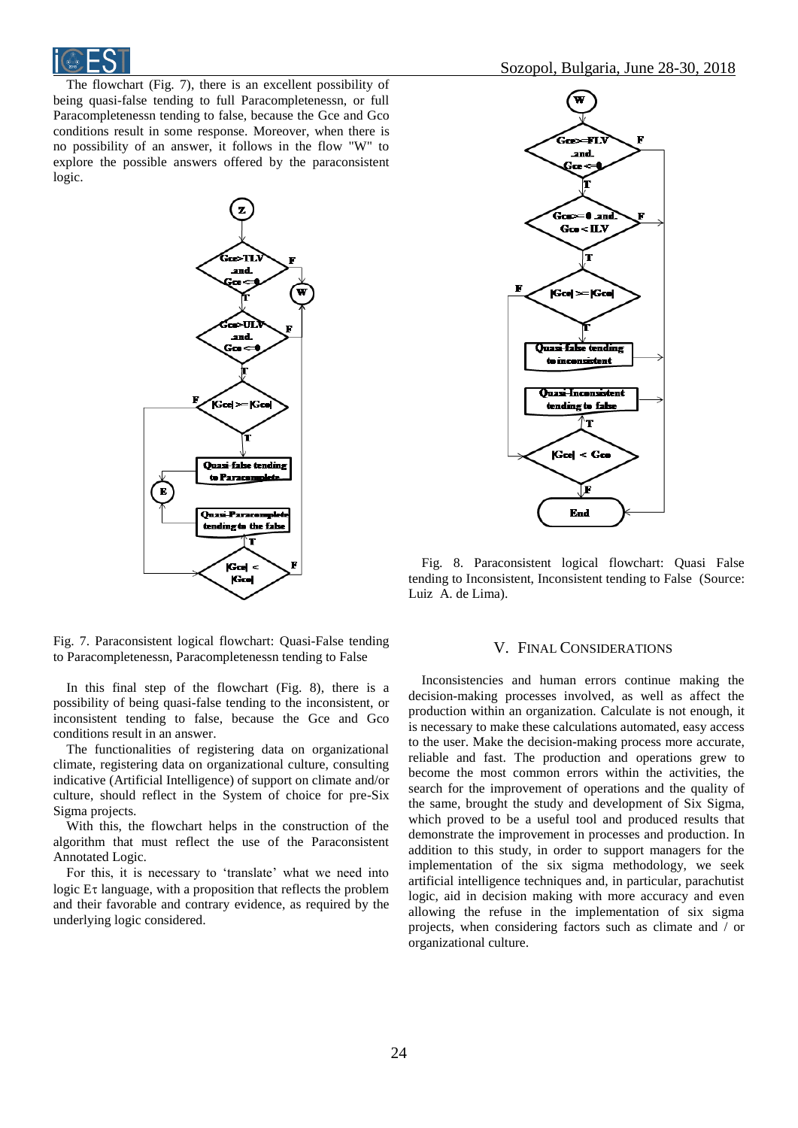

The flowchart (Fig. 7), there is an excellent possibility of being quasi-false tending to full Paracompletenessn, or full Paracompletenessn tending to false, because the Gce and Gco conditions result in some response. Moreover, when there is no possibility of an answer, it follows in the flow "W" to explore the possible answers offered by the paraconsistent logic.



Fig. 7. Paraconsistent logical flowchart: Quasi-False tending to Paracompletenessn, Paracompletenessn tending to False

In this final step of the flowchart (Fig. 8), there is a possibility of being quasi-false tending to the inconsistent, or inconsistent tending to false, because the Gce and Gco conditions result in an answer.

The functionalities of registering data on organizational climate, registering data on organizational culture, consulting indicative (Artificial Intelligence) of support on climate and/or culture, should reflect in the System of choice for pre-Six Sigma projects.

With this, the flowchart helps in the construction of the algorithm that must reflect the use of the Paraconsistent Annotated Logic.

For this, it is necessary to 'translate' what we need into logic  $E\tau$  language, with a proposition that reflects the problem and their favorable and contrary evidence, as required by the underlying logic considered.



Fig. 8. Paraconsistent logical flowchart: Quasi False tending to Inconsistent, Inconsistent tending to False (Source: Luiz A. de Lima).

# V. FINAL CONSIDERATIONS

Inconsistencies and human errors continue making the decision-making processes involved, as well as affect the production within an organization. Calculate is not enough, it is necessary to make these calculations automated, easy access to the user. Make the decision-making process more accurate, reliable and fast. The production and operations grew to become the most common errors within the activities, the search for the improvement of operations and the quality of the same, brought the study and development of Six Sigma, which proved to be a useful tool and produced results that demonstrate the improvement in processes and production. In addition to this study, in order to support managers for the implementation of the six sigma methodology, we seek artificial intelligence techniques and, in particular, parachutist logic, aid in decision making with more accuracy and even allowing the refuse in the implementation of six sigma projects, when considering factors such as climate and / or organizational culture.